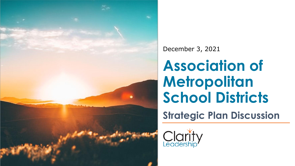

### December 3, 2021

# **Association of Metropolitan School Districts**

**Strategic Plan Discussion** 

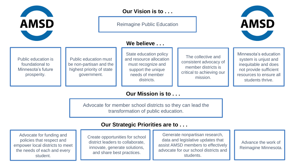

Reimagine Public Education



Public education is foundational to Minnesota's future prosperity.

Public education must be non-partisan and the highest priority of state government.

#### **We believe . . .**

State education policy and resource allocation must recognize and support the unique needs of member districts.

The collective and consistent advocacy of member districts is critical to achieving our mission.

Minnesota's education system is unjust and inequitable and does not provide sufficient resources to ensure all students thrive.

#### **Our Mission is to . . .**

Copyright © 2021 Clarity Leadership

Advocate for member school districts so they can lead the transformation of public education.

#### **Our Strategic Priorities are to . . .**

Advocate for funding and policies that respect and empower local districts to meet the needs of each and every student.

Create opportunities for school district leaders to collaborate, innovate, generate solutions, and share best practices.

Generate nonpartisan research, data and legislative updates that assist AMSD members to effectively advocate for our school districts and students.

Advance the work of Reimagine Minnesota.